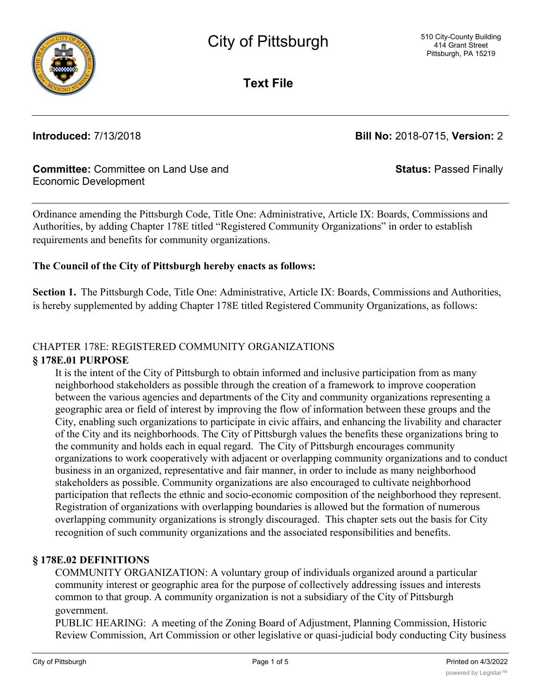

**Text File**

**Introduced:** 7/13/2018 **Bill No:** 2018-0715, **Version:** 2

**Status:** Passed Finally

## **Committee:** Committee on Land Use and Economic Development

Ordinance amending the Pittsburgh Code, Title One: Administrative, Article IX: Boards, Commissions and Authorities, by adding Chapter 178E titled "Registered Community Organizations" in order to establish requirements and benefits for community organizations.

## **The Council of the City of Pittsburgh hereby enacts as follows:**

**Section 1.** The Pittsburgh Code, Title One: Administrative, Article IX: Boards, Commissions and Authorities, is hereby supplemented by adding Chapter 178E titled Registered Community Organizations, as follows:

# CHAPTER 178E: REGISTERED COMMUNITY ORGANIZATIONS

## **§ 178E.01 PURPOSE**

It is the intent of the City of Pittsburgh to obtain informed and inclusive participation from as many neighborhood stakeholders as possible through the creation of a framework to improve cooperation between the various agencies and departments of the City and community organizations representing a geographic area or field of interest by improving the flow of information between these groups and the City, enabling such organizations to participate in civic affairs, and enhancing the livability and character of the City and its neighborhoods. The City of Pittsburgh values the benefits these organizations bring to the community and holds each in equal regard. The City of Pittsburgh encourages community organizations to work cooperatively with adjacent or overlapping community organizations and to conduct business in an organized, representative and fair manner, in order to include as many neighborhood stakeholders as possible. Community organizations are also encouraged to cultivate neighborhood participation that reflects the ethnic and socio-economic composition of the neighborhood they represent. Registration of organizations with overlapping boundaries is allowed but the formation of numerous overlapping community organizations is strongly discouraged. This chapter sets out the basis for City recognition of such community organizations and the associated responsibilities and benefits.

## **§ 178E.02 DEFINITIONS**

COMMUNITY ORGANIZATION: A voluntary group of individuals organized around a particular community interest or geographic area for the purpose of collectively addressing issues and interests common to that group. A community organization is not a subsidiary of the City of Pittsburgh government.

PUBLIC HEARING: A meeting of the Zoning Board of Adjustment, Planning Commission, Historic Review Commission, Art Commission or other legislative or quasi-judicial body conducting City business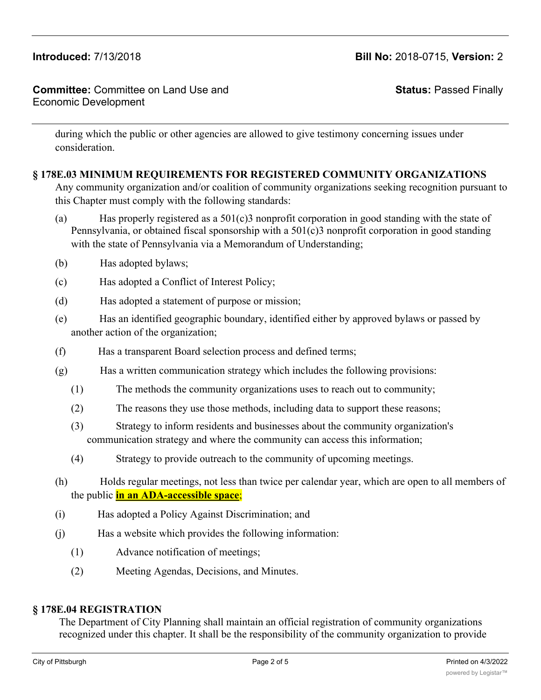### **Committee:** Committee on Land Use and Economic Development

**Status:** Passed Finally

during which the public or other agencies are allowed to give testimony concerning issues under consideration.

## **§ 178E.03 MINIMUM REQUIREMENTS FOR REGISTERED COMMUNITY ORGANIZATIONS**

Any community organization and/or coalition of community organizations seeking recognition pursuant to this Chapter must comply with the following standards:

- (a) Has properly registered as a  $501(c)3$  nonprofit corporation in good standing with the state of Pennsylvania, or obtained fiscal sponsorship with a 501(c)3 nonprofit corporation in good standing with the state of Pennsylvania via a Memorandum of Understanding;
- (b) Has adopted bylaws;
- (c) Has adopted a Conflict of Interest Policy;
- (d) Has adopted a statement of purpose or mission;
- (e) Has an identified geographic boundary, identified either by approved bylaws or passed by another action of the organization;
- (f) Has a transparent Board selection process and defined terms;
- (g) Has a written communication strategy which includes the following provisions:
	- (1) The methods the community organizations uses to reach out to community;
	- (2) The reasons they use those methods, including data to support these reasons;
	- (3) Strategy to inform residents and businesses about the community organization's communication strategy and where the community can access this information;
	- (4) Strategy to provide outreach to the community of upcoming meetings.
- (h) Holds regular meetings, not less than twice per calendar year, which are open to all members of the public **in an ADA-accessible space**;
- (i) Has adopted a Policy Against Discrimination; and
- (j) Has a website which provides the following information:
	- (1) Advance notification of meetings;
	- (2) Meeting Agendas, Decisions, and Minutes.

### **§ 178E.04 REGISTRATION**

The Department of City Planning shall maintain an official registration of community organizations recognized under this chapter. It shall be the responsibility of the community organization to provide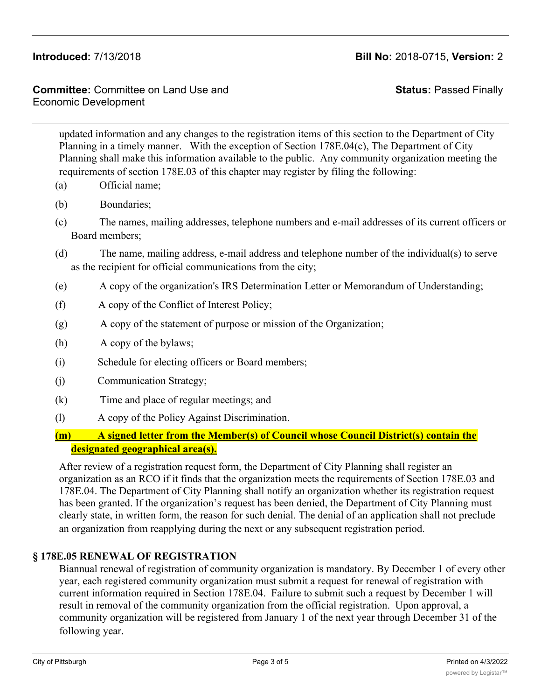**Committee:** Committee on Land Use and Economic Development

**Status:** Passed Finally

updated information and any changes to the registration items of this section to the Department of City Planning in a timely manner. With the exception of Section 178E.04(c), The Department of City Planning shall make this information available to the public. Any community organization meeting the requirements of section 178E.03 of this chapter may register by filing the following:

- (a) Official name;
- (b) Boundaries;
- (c) The names, mailing addresses, telephone numbers and e-mail addresses of its current officers or Board members;
- (d) The name, mailing address, e-mail address and telephone number of the individual(s) to serve as the recipient for official communications from the city;
- (e) A copy of the organization's IRS Determination Letter or Memorandum of Understanding;
- (f) A copy of the Conflict of Interest Policy;
- (g) A copy of the statement of purpose or mission of the Organization;
- (h) A copy of the bylaws;
- (i) Schedule for electing officers or Board members;
- (j) Communication Strategy;
- (k) Time and place of regular meetings; and
- (l) A copy of the Policy Against Discrimination.
- **(m) A signed letter from the Member(s) of Council whose Council District(s) contain the designated geographical area(s).**

After review of a registration request form, the Department of City Planning shall register an organization as an RCO if it finds that the organization meets the requirements of Section 178E.03 and 178E.04. The Department of City Planning shall notify an organization whether its registration request has been granted. If the organization's request has been denied, the Department of City Planning must clearly state, in written form, the reason for such denial. The denial of an application shall not preclude an organization from reapplying during the next or any subsequent registration period.

## **§ 178E.05 RENEWAL OF REGISTRATION**

Biannual renewal of registration of community organization is mandatory. By December 1 of every other year, each registered community organization must submit a request for renewal of registration with current information required in Section 178E.04. Failure to submit such a request by December 1 will result in removal of the community organization from the official registration. Upon approval, a community organization will be registered from January 1 of the next year through December 31 of the following year.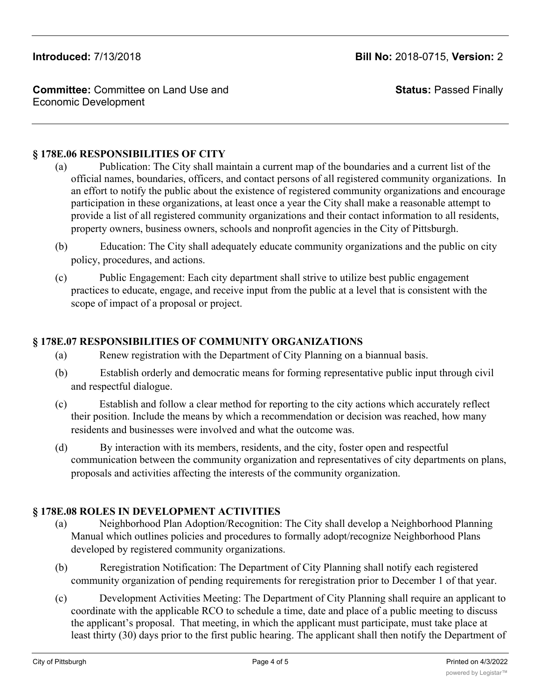**Committee:** Committee on Land Use and Economic Development

**Status:** Passed Finally

### **§ 178E.06 RESPONSIBILITIES OF CITY**

- (a) Publication: The City shall maintain a current map of the boundaries and a current list of the official names, boundaries, officers, and contact persons of all registered community organizations. In an effort to notify the public about the existence of registered community organizations and encourage participation in these organizations, at least once a year the City shall make a reasonable attempt to provide a list of all registered community organizations and their contact information to all residents, property owners, business owners, schools and nonprofit agencies in the City of Pittsburgh.
- (b) Education: The City shall adequately educate community organizations and the public on city policy, procedures, and actions.
- (c) Public Engagement: Each city department shall strive to utilize best public engagement practices to educate, engage, and receive input from the public at a level that is consistent with the scope of impact of a proposal or project.

## **§ 178E.07 RESPONSIBILITIES OF COMMUNITY ORGANIZATIONS**

- (a) Renew registration with the Department of City Planning on a biannual basis.
- (b) Establish orderly and democratic means for forming representative public input through civil and respectful dialogue.
- (c) Establish and follow a clear method for reporting to the city actions which accurately reflect their position. Include the means by which a recommendation or decision was reached, how many residents and businesses were involved and what the outcome was.
- (d) By interaction with its members, residents, and the city, foster open and respectful communication between the community organization and representatives of city departments on plans, proposals and activities affecting the interests of the community organization.

## **§ 178E.08 ROLES IN DEVELOPMENT ACTIVITIES**

- (a) Neighborhood Plan Adoption/Recognition: The City shall develop a Neighborhood Planning Manual which outlines policies and procedures to formally adopt/recognize Neighborhood Plans developed by registered community organizations.
- (b) Reregistration Notification: The Department of City Planning shall notify each registered community organization of pending requirements for reregistration prior to December 1 of that year.
- (c) Development Activities Meeting: The Department of City Planning shall require an applicant to coordinate with the applicable RCO to schedule a time, date and place of a public meeting to discuss the applicant's proposal. That meeting, in which the applicant must participate, must take place at least thirty (30) days prior to the first public hearing. The applicant shall then notify the Department of